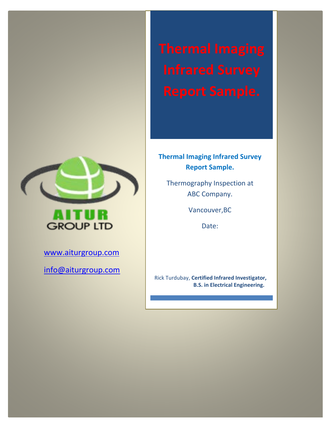

[www.aiturgroup.com](http://www.aiturgroup.com/)

[info@aiturgroup.com](mailto:info@aiturgroup.com)

# **Thermal Imaging Infrared Survey Report Sample.**

Thermography Inspection at ABC Company.

Vancouver,BC

Date:

Rick Turdubay, **Certified Infrared Investigator, B.S. in Electrical Engineering.**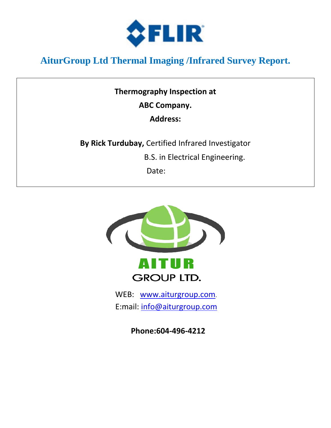

# **AiturGroup Ltd Thermal Imaging /Infrared Survey Report.**

**Thermography Inspection at ABC Company.**

**Address:**

**By Rick Turdubay,** Certified Infrared Investigator

B.S. in Electrical Engineering.

**Date:** The Contract of the Date:



E:mail: [info@aiturgroup.com](mailto:info@aiturgroup.com)

**Phone:604-496-4212**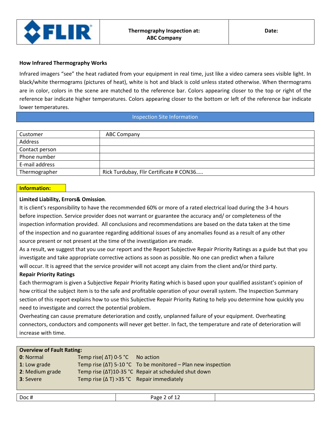

#### **How Infrared Thermography Works**

Infrared imagers "see" the heat radiated from your equipment in real time, just like a video camera sees visible light. In black/white thermograms (pictures of heat), white is hot and black is cold unless stated otherwise. When thermograms are in color, colors in the scene are matched to the reference bar. Colors appearing closer to the top or right of the reference bar indicate higher temperatures. Colors appearing closer to the bottom or left of the reference bar indicate lower temperatures.

#### Inspection Site Information

| Customer       | <b>ABC Company</b>                      |
|----------------|-----------------------------------------|
| Address        |                                         |
| Contact person |                                         |
| Phone number   |                                         |
| E-mail address |                                         |
| Thermographer  | Rick Turdubay, Flir Certificate # CON36 |

#### **Information:**

#### **Limited Liability, Errors& Omission**.

It is client's responsibility to have the recommended 60% or more of a rated electrical load during the 3-4 hours before inspection. Service provider does not warrant or guarantee the accuracy and/ or completeness of the inspection information provided. All conclusions and recommendations are based on the data taken at the time of the inspection and no guarantee regarding additional issues of any anomalies found as a result of any other source present or not present at the time of the investigation are made.

As a result, we suggest that you use our report and the Report Subjective Repair Priority Ratings as a guide but that you investigate and take appropriate corrective actions as soon as possible. No one can predict when a failure will occur. It is agreed that the service provider will not accept any claim from the client and/or third party.

#### **Repair Priority Ratings**

Each thermogram is given a Subjective Repair Priority Rating which is based upon your qualified assistant's opinion of how critical the subject item is to the safe and profitable operation of your overall system. The Inspection Summary section of this report explains how to use this Subjective Repair Priority Rating to help you determine how quickly you need to investigate and correct the potential problem.

Overheating can cause premature deterioration and costly, unplanned failure of your equipment. Overheating connectors, conductors and components will never get better. In fact, the temperature and rate of deterioration will increase with time.

| <b>Overview of Fault Rating:</b> |                                                    |                                                                        |
|----------------------------------|----------------------------------------------------|------------------------------------------------------------------------|
| <b>0</b> : Normal                | Temp rise( $\Delta T$ ) 0-5 °C No action           |                                                                        |
| 1: Low grade                     |                                                    | Temp rise ( $\Delta T$ ) 5-10 °C To be monitored – Plan new inspection |
| 2: Medium grade                  |                                                    | Temp rise (ΔT)10-35 °C Repair at scheduled shut down                   |
| <b>3</b> : Severe                | Temp rise ( $\Delta$ T) > 35 °C Repair immediately |                                                                        |
|                                  |                                                    |                                                                        |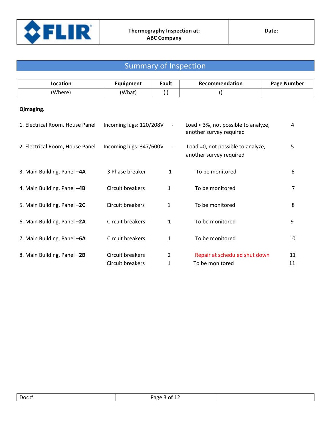

# Summary of Inspection

| <b>Location</b> | Equipment | <sup>=</sup> ault | Recommendation | <sup>D</sup> age Number |
|-----------------|-----------|-------------------|----------------|-------------------------|
| (Where)         | (What)    |                   |                |                         |

## **Qimaging.**

| 1. Electrical Room, House Panel | Incoming lugs: 120/208V              | $\overline{\phantom{a}}$ | Load < 3%, not possible to analyze,<br>another survey required | 4        |
|---------------------------------|--------------------------------------|--------------------------|----------------------------------------------------------------|----------|
| 2. Electrical Room, House Panel | Incoming lugs: 347/600V              | $\overline{\phantom{a}}$ | Load =0, not possible to analyze,<br>another survey required   | 5        |
| 3. Main Building, Panel -4A     | 3 Phase breaker                      | 1                        | To be monitored                                                | 6        |
| 4. Main Building, Panel -4B     | Circuit breakers                     | 1                        | To be monitored                                                | 7        |
| 5. Main Building, Panel -2C     | Circuit breakers                     | 1                        | To be monitored                                                | 8        |
| 6. Main Building, Panel -2A     | Circuit breakers                     | 1                        | To be monitored                                                | 9        |
| 7. Main Building, Panel -6A     | Circuit breakers                     | 1                        | To be monitored                                                | 10       |
| 8. Main Building, Panel -2B     | Circuit breakers<br>Circuit breakers | 2<br>1                   | Repair at scheduled shut down<br>To be monitored               | 11<br>11 |

| Doc# | -<br>$\sim$ $\sim$ $\sim$ $\sim$ $\sim$ $\sim$<br>Раре<br>ot 1<br>$\sim$ $\sim$ $\sim$ $\sim$ $\sim$ |  |
|------|------------------------------------------------------------------------------------------------------|--|
|      |                                                                                                      |  |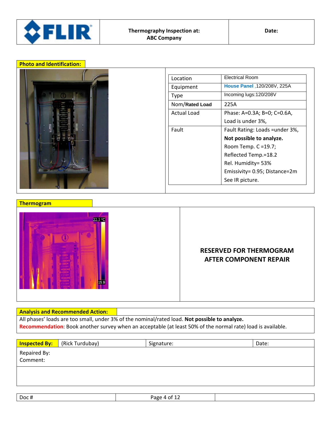

| I |  |  |
|---|--|--|
|   |  |  |
|   |  |  |
|   |  |  |

| Location       | <b>Electrical Room</b>          |  |
|----------------|---------------------------------|--|
| Equipment      | House Panel .120/208V, 225A     |  |
| Type           | Incoming lugs:120/208V          |  |
| Nom/Rated Load | 225A                            |  |
| Actual Load    | Phase: A=0.3A; B=0; C=0.6A,     |  |
|                | Load is under 3%,               |  |
| Fault          | Fault Rating: Loads = under 3%, |  |
|                | Not possible to analyze.        |  |
|                | Room Temp. C = 19.7;            |  |
|                | Reflected Temp.=18.2            |  |
|                | Rel. Humidity= 53%              |  |
|                | Emissivity= 0.95; Distance=2m   |  |
|                | See IR picture.                 |  |

#### **Thermogram**



## **RESERVED FOR THERMOGRAM AFTER COMPONENT REPAIR**

#### **Analysis and Recommended Action:**

All phases' loads are too small, under 3% of the nominal/rated load. **Not possible to analyze. Recommendation**: Book another survey when an acceptable (at least 50% of the normal rate) load is available.

| <b>Inspected By:</b> | (Rick Turdubay) | Signature: | Date: |
|----------------------|-----------------|------------|-------|
| Repaired By:         |                 |            |       |
| Comment:             |                 |            |       |
|                      |                 |            |       |
|                      |                 |            |       |
|                      |                 |            |       |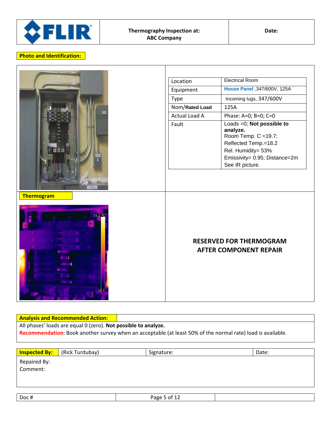

| <b>OMA</b><br><b>Thermogram</b><br>21.2.90<br><b>COM</b><br><b>STATISTICS</b><br>18.1 | Location<br>Equipment<br>Type<br>Nom/Rated Load<br>Actual Load A<br>Fault | <b>Electrical Room</b><br>House Panel , 347/600V, 125A<br>Incoming lugs, 347/600V<br>125A<br>Phase: A=0; B=0; C=0<br>Loads =0; Not possible to |
|---------------------------------------------------------------------------------------|---------------------------------------------------------------------------|------------------------------------------------------------------------------------------------------------------------------------------------|
|                                                                                       |                                                                           | analyze.<br>Room Temp. $C = 19.7$ ;<br>Reflected Temp.=18.2<br>Rel. Humidity= 53%<br>Emissivity= 0.95; Distance=2m<br>See IR picture.          |
|                                                                                       |                                                                           | <b>RESERVED FOR THERMOGRAM</b><br><b>AFTER COMPONENT REPAIR</b>                                                                                |

**Analysis and Recommended Action:** All phases' loads are equal 0 (zero). **Not possible to analyze. Recommendation**: Book another survey when an acceptable (at least 50% of the normal rate) load is available.

| <b>Inspected By:</b>     | (Rick Turdubay) | Signature: | Date: |
|--------------------------|-----------------|------------|-------|
| Repaired By:<br>Comment: |                 |            |       |
|                          |                 |            |       |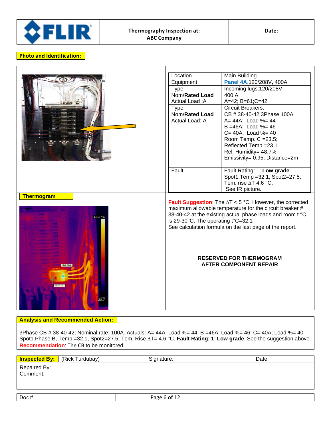

|                   | Location                           | Main Building                                                          |
|-------------------|------------------------------------|------------------------------------------------------------------------|
|                   | Equipment                          | Panel 4A, 120/208V, 400A                                               |
|                   | <b>Type</b>                        | Incoming lugs: 120/208V                                                |
|                   | Nom/Rated Load                     | 400 A                                                                  |
|                   | Actual Load: A                     | A=42; B=61; C=42                                                       |
|                   | <b>Type</b>                        | <b>Circuit Breakers:</b>                                               |
|                   | Nom/Rated Load                     | CB #38-40-42 3Phase; 100A                                              |
|                   | Actual Load: A                     | A= 44A; Load %= 44                                                     |
|                   |                                    | $B = 46A$ ; Load %= 46                                                 |
|                   |                                    | $C = 40A$ ; Load %= 40                                                 |
|                   |                                    | Room Temp. C = 23.5;                                                   |
|                   |                                    | Reflected Temp.=23.1                                                   |
|                   |                                    | Rel. Humidity= 48.7%                                                   |
|                   |                                    | Emissivity= 0.95; Distance=2m                                          |
|                   |                                    |                                                                        |
|                   | Fault                              | Fault Rating: 1: Low grade                                             |
|                   |                                    | Spot1.Temp = 32.1, Spot2=27.5;<br>Tem. rise $\Delta T$ 4.6 °C,         |
|                   |                                    | See IR picture.                                                        |
| <b>Thermogram</b> |                                    |                                                                        |
|                   |                                    | <b>Fault Suggestion:</b> The $\Delta T < 5$ °C. However, the corrected |
|                   |                                    | maximum allowable temperature for the circuit breaker #                |
| 32.2 °C           |                                    | 38-40-42 at the existing actual phase loads and room t °C              |
|                   | is 29-30°C. The operating t°C=32.1 |                                                                        |
|                   |                                    | See calculation formula on the last page of the report.                |
|                   |                                    |                                                                        |
|                   |                                    |                                                                        |
|                   |                                    |                                                                        |
|                   |                                    |                                                                        |
|                   |                                    | <b>RESERVED FOR THERMOGRAM</b>                                         |
|                   |                                    | <b>AFTER COMPONENT REPAIR</b>                                          |
|                   |                                    |                                                                        |
|                   |                                    |                                                                        |
|                   |                                    |                                                                        |
|                   |                                    |                                                                        |
|                   |                                    |                                                                        |
|                   |                                    |                                                                        |
|                   |                                    |                                                                        |

#### **Analysis and Recommended Action:**

3Phase CB # 38-40-42; Nominal rate: 100A. Actuals: A= 44A; Load %= 44; B =46A; Load %= 46; C= 40A; Load %= 40 Spot1.Phase B, Temp =32.1, Spot2=27.5; Tem. Rise ∆T= 4.6 °C. **Fault Rating**: 1: **Low grade**. See the suggestion above. **Recommendation**: The CB to be monitored.

|                          | <b>Inspected By:</b> (Rick Turdubay) | Signature:   | Date: |
|--------------------------|--------------------------------------|--------------|-------|
|                          |                                      |              |       |
| Repaired By:<br>Comment: |                                      |              |       |
|                          |                                      |              |       |
|                          |                                      |              |       |
| Doc#                     |                                      | Page 6 of 12 |       |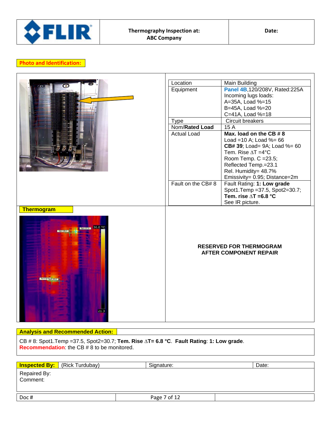

|                                                  | Location           | Main Building                                                   |
|--------------------------------------------------|--------------------|-----------------------------------------------------------------|
|                                                  | Equipment          | Panel 4B,120/208V, Rated:225A                                   |
|                                                  |                    | Incoming lugs loads:                                            |
|                                                  |                    | A=35A, Load %=15                                                |
|                                                  |                    | B=45A, Load %=20                                                |
|                                                  |                    | C=41A, Load %=18                                                |
|                                                  | <b>Type</b>        | Circuit breakers                                                |
|                                                  | Nom/Rated Load     | 15A                                                             |
|                                                  | <b>Actual Load</b> | Max. load on the CB #8                                          |
|                                                  |                    | Load = $10$ A; Load % = $66$                                    |
|                                                  |                    | <b>CB# 39; Load= 9A; Load %= 60</b>                             |
|                                                  |                    | Tem. Rise $\Delta T = 4^{\circ}C$                               |
|                                                  |                    | Room Temp. C = 23.5;                                            |
|                                                  |                    | Reflected Temp.=23.1                                            |
|                                                  |                    | Rel. Humidity= 48.7%                                            |
|                                                  |                    | Emissivity= 0.95; Distance=2m                                   |
|                                                  | Fault on the CB#8  | Fault Rating: 1: Low grade                                      |
|                                                  |                    | Spot1.Temp = 37.5, Spot2=30.7;                                  |
|                                                  |                    | Tem. rise $\Delta T = 6.8$ °C                                   |
|                                                  |                    | See IR picture.                                                 |
| Thermogram                                       |                    |                                                                 |
| <b>BOILDED</b> 36.8 °C<br>Sp3 3 Sp4 29.0<br>21.3 |                    | <b>RESERVED FOR THERMOGRAM</b><br><b>AFTER COMPONENT REPAIR</b> |

#### **Analysis and Recommended Action:**

CB # 8: Spot1.Temp =37.5, Spot2=30.7; **Tem. Rise ∆T= 6.8 °C**. **Fault Rating**: **1: Low grade**. **Recommendation**: the CB # 8 to be monitored.

|                          | <b>Inspected By:</b> (Rick Turdubay) | Signature:   | Date: |
|--------------------------|--------------------------------------|--------------|-------|
| Repaired By:<br>Comment: |                                      |              |       |
| Doc#                     |                                      | Page 7 of 12 |       |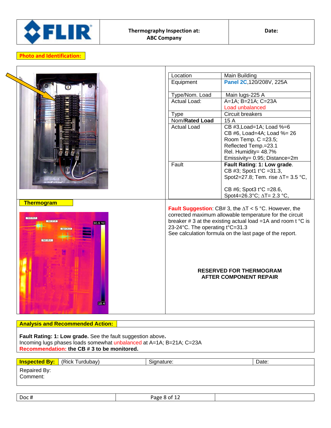

| Location           | Main Building                                                                                                                                                                                                                                                                                                                       |
|--------------------|-------------------------------------------------------------------------------------------------------------------------------------------------------------------------------------------------------------------------------------------------------------------------------------------------------------------------------------|
| Equipment          | Panel 2C, 120/208V, 225A                                                                                                                                                                                                                                                                                                            |
|                    | Main lugs-225 A                                                                                                                                                                                                                                                                                                                     |
| Actual Load:       | A=1A; B=21A; C=23A                                                                                                                                                                                                                                                                                                                  |
|                    | Load unbalanced                                                                                                                                                                                                                                                                                                                     |
| <b>Type</b>        | Circuit breakers                                                                                                                                                                                                                                                                                                                    |
| Nom/Rated Load     | $\overline{15}$ A                                                                                                                                                                                                                                                                                                                   |
| <b>Actual Load</b> | CB #3, Load=1A; Load %=6                                                                                                                                                                                                                                                                                                            |
|                    | CB #6, Load=4A; Load %= 26                                                                                                                                                                                                                                                                                                          |
|                    | Room Temp. C = 23.5;                                                                                                                                                                                                                                                                                                                |
|                    | Reflected Temp.=23.1                                                                                                                                                                                                                                                                                                                |
|                    | Rel. Humidity= 48.7%                                                                                                                                                                                                                                                                                                                |
|                    | Emissivity= 0.95; Distance=2m                                                                                                                                                                                                                                                                                                       |
|                    | Fault Rating: 1: Low grade.                                                                                                                                                                                                                                                                                                         |
|                    | CB #3; Spot1 t°C =31.3,                                                                                                                                                                                                                                                                                                             |
|                    | Spot2=27.8; Tem. rise $\Delta T = 3.5$ °C,                                                                                                                                                                                                                                                                                          |
|                    |                                                                                                                                                                                                                                                                                                                                     |
|                    | CB #6; Spot3 t°C =28.6,                                                                                                                                                                                                                                                                                                             |
|                    | Spot4=26.3°C; $\Delta T = 2.3$ °C,                                                                                                                                                                                                                                                                                                  |
|                    | <b>Fault Suggestion:</b> CB# 3, the $\Delta T < 5$ °C. However, the<br>corrected maximum allowable temperature for the circuit<br>breaker #3 at the existing actual load =1A and room $t^{\circ}C$ is<br>See calculation formula on the last page of the report.<br><b>RESERVED FOR THERMOGRAM</b><br><b>AFTER COMPONENT REPAIR</b> |
|                    | Type/Nom. Load<br>Fault<br>23-24°C. The operating t°C=31.3                                                                                                                                                                                                                                                                          |

#### **Analysis and Recommended Action:**

**Fault Rating: 1: Low grade.** See the fault suggestion above**.** Incoming lugs phases loads somewhat unbalanced at A=1A; B=21A; C=23A **Recommendation: the CB # 3 to be monitored.**

| <b>Inspected By:</b>     | (Rick Turdubay) | Signature: | Date: |
|--------------------------|-----------------|------------|-------|
| Repaired By:<br>Comment: |                 |            |       |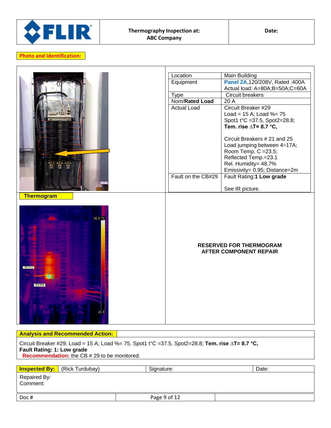

|                     | Location           | <b>Main Building</b>                                            |
|---------------------|--------------------|-----------------------------------------------------------------|
|                     | Equipment          | Panel 2A, 120/208V, Rated: 400A                                 |
|                     |                    | Actual load: A=80A;B=50A;C=60A                                  |
|                     | <b>Type</b>        | Circuit breakers                                                |
|                     | Nom/Rated Load     | 20 A                                                            |
|                     | <b>Actual Load</b> | Circuit Breaker #29                                             |
|                     |                    | Load = $15$ A; Load %= $75$                                     |
|                     |                    | Spot1 t°C =37.5, Spot2=28.8;                                    |
|                     |                    | Tem. rise $\Delta T = 8.7$ °C,                                  |
|                     |                    |                                                                 |
|                     |                    | Circuit Breakers # 21 and 25                                    |
|                     |                    | Load jumping between 4÷17A;                                     |
|                     |                    | Room Temp. C = 23.5;                                            |
|                     |                    | Reflected Temp.=23.1                                            |
|                     |                    | Rel. Humidity= 48.7%                                            |
|                     | Fault on the CB#29 | Emissivity= 0.95; Distance=2m                                   |
|                     |                    | Fault Rating:1 Low grade                                        |
|                     |                    | See IR picture.                                                 |
| 36.8 °C<br>Sp1 37.5 |                    | <b>RESERVED FOR THERMOGRAM</b><br><b>AFTER COMPONENT REPAIR</b> |
| 21.8                |                    |                                                                 |

## **Analysis and Recommended Action:**

Circuit Breaker #29; Load = 15 A; Load %= 75. Spot1 t°C =37.5, Spot2=28.8; **Tem. rise ∆T= 8.7 °C, Fault Rating: 1: Low grade Recommendation:** the CB # 29 to be monitored.

| <b>Inspected By:</b> (Rick Turdubay) | Signature:   | Date: |
|--------------------------------------|--------------|-------|
| Repaired By:<br>Comment:             |              |       |
| Doc#                                 | Page 9 of 12 |       |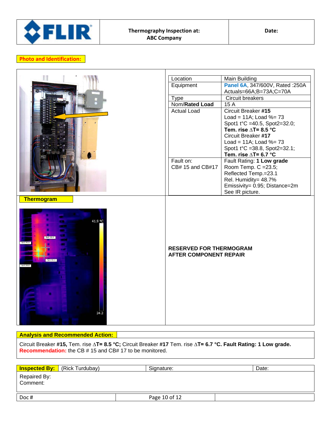

| Location         | <b>Main Building</b>                                                                                                                |
|------------------|-------------------------------------------------------------------------------------------------------------------------------------|
|                  | Panel 6A, 347/600V, Rated : 250A                                                                                                    |
|                  | Actuals=66A;B=73A;C=70A                                                                                                             |
|                  | Circuit breakers                                                                                                                    |
|                  | 15 A                                                                                                                                |
|                  | <b>Circuit Breaker #15</b>                                                                                                          |
|                  | Load = $11A$ ; Load %= $73$                                                                                                         |
|                  | Spot1 t°C =40.5, Spot2=32.0;                                                                                                        |
|                  | Tem. rise $\triangle T = 8.5$ °C                                                                                                    |
|                  | Circuit Breaker #17                                                                                                                 |
|                  | Load = $11A$ ; Load %= $73$                                                                                                         |
|                  | Spot1 t°C =38.8, Spot2=32.1;                                                                                                        |
|                  | Tem. rise $\Delta T = 6.7$ °C                                                                                                       |
| Fault on:        | Fault Rating: 1 Low grade                                                                                                           |
| CB# 15 and CB#17 | Room Temp. C = 23.5;                                                                                                                |
|                  | Reflected Temp.=23.1                                                                                                                |
|                  | Rel. Humidity= 48.7%                                                                                                                |
|                  | Emissivity= 0.95; Distance=2m                                                                                                       |
|                  | See IR picture.                                                                                                                     |
|                  |                                                                                                                                     |
|                  | Equipment<br><b>Type</b><br>Nom/Rated Load<br><b>Actual Load</b><br><b>RESERVED FOR THERMOGRAM</b><br><b>AFTER COMPONENT REPAIR</b> |

#### **Analysis and Recommended Action:**

Circuit Breaker **#15,** Tem. rise **∆T= 8.5 °C;** Circuit Breaker **#17** Tem. rise **∆T= 6.7 °C. Fault Rating: 1 Low grade. Recommendation:** the CB # 15 and CB# 17 to be monitored.

|                          | <b>Inspected By:</b> (Rick Turdubay) | Signature:    | Date: |
|--------------------------|--------------------------------------|---------------|-------|
| Repaired By:<br>Comment: |                                      |               |       |
| Doc#                     |                                      | Page 10 of 12 |       |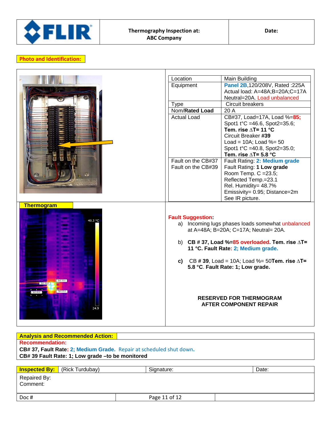

|                   | Location                 | Main Building                                           |
|-------------------|--------------------------|---------------------------------------------------------|
|                   | Equipment                | Panel 2B,120/208V, Rated :225A                          |
|                   |                          | Actual load: A=48A;B=20A;C=17A                          |
|                   |                          | Neutral=20A. Load unbalanced                            |
|                   | <b>Type</b>              | Circuit breakers                                        |
|                   | Nom/Rated Load           | 20 A                                                    |
|                   | <b>Actual Load</b>       | CB#37, Load=17A, Load %=85;                             |
|                   |                          | Spot1 t°C =46.6, Spot2=35.6;                            |
|                   |                          | Tem. rise $\Delta T = 11$ °C                            |
|                   |                          | Circuit Breaker #39                                     |
|                   |                          | Load = $10A$ ; Load %= $50$                             |
|                   |                          | Spot1 t°C =40.8, Spot2=35.0;                            |
|                   |                          | Tem. rise $\triangle T = 5.8$ °C                        |
|                   | Fault on the CB#37       | Fault Rating: 2: Medium grade                           |
|                   | Fault on the CB#39       | Fault Rating: 1 Low grade                               |
|                   |                          | Room Temp. C = 23.5;                                    |
|                   |                          | Reflected Temp.=23.1                                    |
|                   |                          | Rel. Humidity= 48.7%                                    |
|                   |                          | Emissivity= 0.95; Distance=2m                           |
|                   |                          | See IR picture.                                         |
| <b>Thermogram</b> |                          |                                                         |
|                   |                          |                                                         |
| 40.3 °C           | <b>Fault Suggestion:</b> |                                                         |
|                   |                          | a) Incoming lugs phases loads somewhat unbalanced       |
|                   |                          | at A=48A; B=20A; C=17A; Neutral= 20A.                   |
|                   |                          | b) CB #37, Load %=85 overloaded. Tem. rise $\Delta T$ = |
|                   |                          | 11 °C. Fault Rate: 2; Medium grade.                     |
|                   |                          |                                                         |
|                   |                          | c) CB #39, Load = 10A; Load %= 50Tem. rise $\Delta T$ = |
|                   |                          | 5.8 °C. Fault Rate: 1; Low grade.                       |
|                   |                          |                                                         |
|                   |                          |                                                         |
|                   |                          |                                                         |
|                   |                          |                                                         |
|                   |                          | <b>RESERVED FOR THERMOGRAM</b>                          |
| 24.9              |                          | <b>AFTER COMPONENT REPAIR</b>                           |
|                   |                          |                                                         |
|                   |                          |                                                         |
|                   |                          |                                                         |

| <b>Analysis and Recommended Action:</b>                             |            |       |  |
|---------------------------------------------------------------------|------------|-------|--|
| <b>Recommendation:</b>                                              |            |       |  |
| CB# 37, Fault Rate: 2; Medium Grade. Repair at scheduled shut down. |            |       |  |
| CB# 39 Fault Rate: 1; Low grade - to be monitored                   |            |       |  |
|                                                                     |            |       |  |
| (Rick Turdubay)<br><b>Inspected By:</b>                             | Signature: | Date: |  |
| Repaired By:<br>Comment:                                            |            |       |  |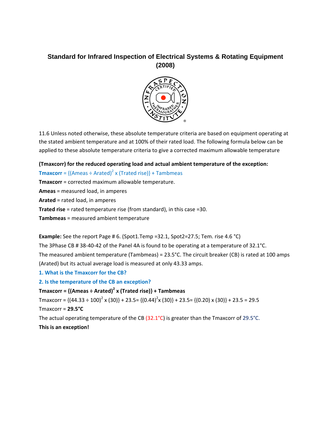## **Standard for Infrared Inspection of Electrical Systems & Rotating Equipment (2008)**



11.6 Unless noted otherwise, these absolute temperature criteria are based on equipment operating at the stated ambient temperature and at 100% of their rated load. The following formula below can be applied to these absolute temperature criteria to give a corrected maximum allowable temperature

## **(Tmaxcorr) for the reduced operating load and actual ambient temperature of the exception:**

**Tmaxcorr** =  ${(\text{Ameas} \div \text{Arated})^2 \times (\text{Trated rise})}$  + Tambmeas

**Tmaxcorr** = corrected maximum allowable temperature.

**Ameas** = measured load, in amperes

**Arated** = rated load, in amperes

**Trated rise** = rated temperature rise (from standard), in this case =30.

**Tambmeas** = measured ambient temperature

**Example:** See the report Page # 6. (Spot1.Temp =32.1, Spot2=27.5; Tem. rise 4.6 °C)

The 3Phase CB # 38-40-42 of the Panel 4A is found to be operating at a temperature of 32.1°C. The measured ambient temperature (Tambmeas) = 23.5°C. The circuit breaker (CB) is rated at 100 amps (Arated) but its actual average load is measured at only 43.33 amps.

- **1. What is the Tmaxcorr for the CB?**
- **2. Is the temperature of the CB an exception?**

**Tmaxcorr = {(Ameas ÷ Arated)<sup>2</sup> x (Trated rise)} + Tambmeas** 

Tmaxcorr = {(44.33 ÷ 100)<sup>2</sup> x (30)} + 23.5= {(0.44)<sup>2</sup>x (30)} + 23.5= {(0.20) x (30)} + 23.5 = 29.5 Tmaxcorr = **29.5°C**

The actual operating temperature of the CB (32.1°C) is greater than the Tmaxcorr of 29.5°C. **This is an exception!**